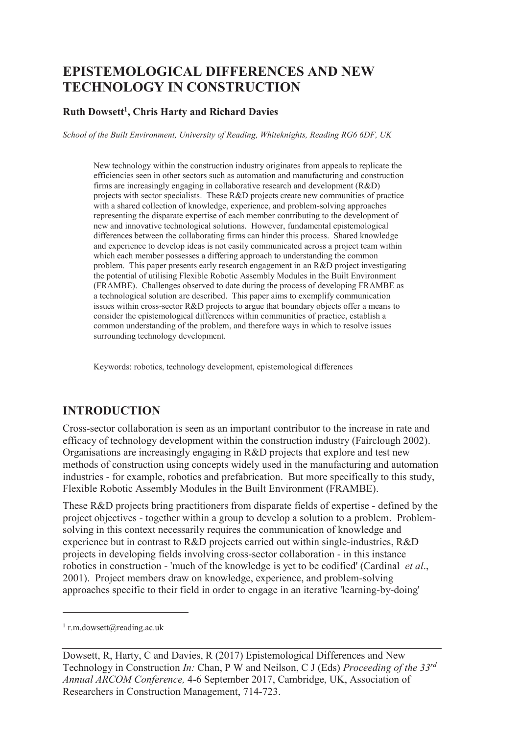# **EPISTEMOLOGICAL DIFFERENCES AND NEW TECHNOLOGY IN CONSTRUCTION**

#### **Ruth Dowsett<sup>1</sup> , Chris Harty and Richard Davies**

*School of the Built Environment, University of Reading, Whiteknights, Reading RG6 6DF, UK* 

New technology within the construction industry originates from appeals to replicate the efficiencies seen in other sectors such as automation and manufacturing and construction firms are increasingly engaging in collaborative research and development (R&D) projects with sector specialists. These R&D projects create new communities of practice with a shared collection of knowledge, experience, and problem-solving approaches representing the disparate expertise of each member contributing to the development of new and innovative technological solutions. However, fundamental epistemological differences between the collaborating firms can hinder this process. Shared knowledge and experience to develop ideas is not easily communicated across a project team within which each member possesses a differing approach to understanding the common problem. This paper presents early research engagement in an R&D project investigating the potential of utilising Flexible Robotic Assembly Modules in the Built Environment (FRAMBE). Challenges observed to date during the process of developing FRAMBE as a technological solution are described. This paper aims to exemplify communication issues within cross-sector R&D projects to argue that boundary objects offer a means to consider the epistemological differences within communities of practice, establish a common understanding of the problem, and therefore ways in which to resolve issues surrounding technology development.

Keywords: robotics, technology development, epistemological differences

## **INTRODUCTION**

Cross-sector collaboration is seen as an important contributor to the increase in rate and efficacy of technology development within the construction industry (Fairclough 2002). Organisations are increasingly engaging in R&D projects that explore and test new methods of construction using concepts widely used in the manufacturing and automation industries - for example, robotics and prefabrication. But more specifically to this study, Flexible Robotic Assembly Modules in the Built Environment (FRAMBE).

These R&D projects bring practitioners from disparate fields of expertise - defined by the project objectives - together within a group to develop a solution to a problem. Problemsolving in this context necessarily requires the communication of knowledge and experience but in contrast to R&D projects carried out within single-industries, R&D projects in developing fields involving cross-sector collaboration - in this instance robotics in construction - 'much of the knowledge is yet to be codified' (Cardinal *et al*., 2001). Project members draw on knowledge, experience, and problem-solving approaches specific to their field in order to engage in an iterative 'learning-by-doing'

-

<sup>1</sup> r.m.dowsett@reading.ac.uk

Dowsett, R, Harty, C and Davies, R (2017) Epistemological Differences and New Technology in Construction *In:* Chan, P W and Neilson, C J (Eds) *Proceeding of the 33rd Annual ARCOM Conference,* 4-6 September 2017, Cambridge, UK, Association of Researchers in Construction Management, 714-723.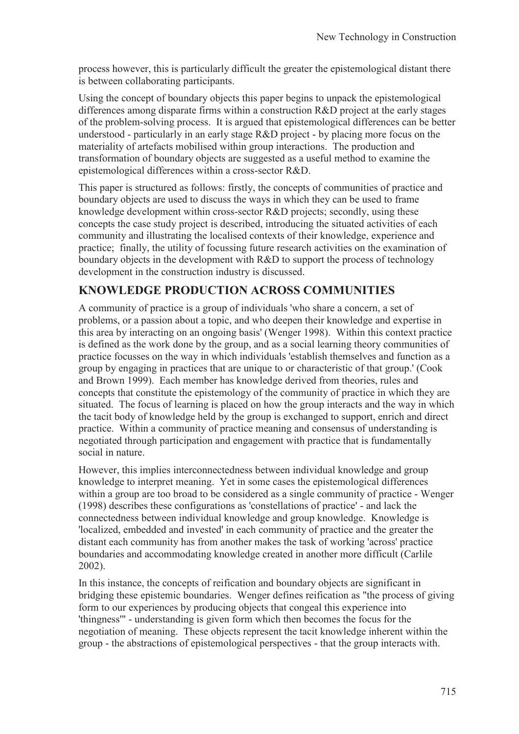process however, this is particularly difficult the greater the epistemological distant there is between collaborating participants.

Using the concept of boundary objects this paper begins to unpack the epistemological differences among disparate firms within a construction R&D project at the early stages of the problem-solving process. It is argued that epistemological differences can be better understood - particularly in an early stage R&D project - by placing more focus on the materiality of artefacts mobilised within group interactions. The production and transformation of boundary objects are suggested as a useful method to examine the epistemological differences within a cross-sector R&D.

This paper is structured as follows: firstly, the concepts of communities of practice and boundary objects are used to discuss the ways in which they can be used to frame knowledge development within cross-sector R&D projects; secondly, using these concepts the case study project is described, introducing the situated activities of each community and illustrating the localised contexts of their knowledge, experience and practice; finally, the utility of focussing future research activities on the examination of boundary objects in the development with R&D to support the process of technology development in the construction industry is discussed.

### **KNOWLEDGE PRODUCTION ACROSS COMMUNITIES**

A community of practice is a group of individuals 'who share a concern, a set of problems, or a passion about a topic, and who deepen their knowledge and expertise in this area by interacting on an ongoing basis' (Wenger 1998). Within this context practice is defined as the work done by the group, and as a social learning theory communities of practice focusses on the way in which individuals 'establish themselves and function as a group by engaging in practices that are unique to or characteristic of that group.' (Cook and Brown 1999). Each member has knowledge derived from theories, rules and concepts that constitute the epistemology of the community of practice in which they are situated. The focus of learning is placed on how the group interacts and the way in which the tacit body of knowledge held by the group is exchanged to support, enrich and direct practice. Within a community of practice meaning and consensus of understanding is negotiated through participation and engagement with practice that is fundamentally social in nature.

However, this implies interconnectedness between individual knowledge and group knowledge to interpret meaning. Yet in some cases the epistemological differences within a group are too broad to be considered as a single community of practice - Wenger (1998) describes these configurations as 'constellations of practice' - and lack the connectedness between individual knowledge and group knowledge. Knowledge is 'localized, embedded and invested' in each community of practice and the greater the distant each community has from another makes the task of working 'across' practice boundaries and accommodating knowledge created in another more difficult (Carlile 2002).

In this instance, the concepts of reification and boundary objects are significant in bridging these epistemic boundaries. Wenger defines reification as "the process of giving form to our experiences by producing objects that congeal this experience into 'thingness'" - understanding is given form which then becomes the focus for the negotiation of meaning. These objects represent the tacit knowledge inherent within the group - the abstractions of epistemological perspectives - that the group interacts with.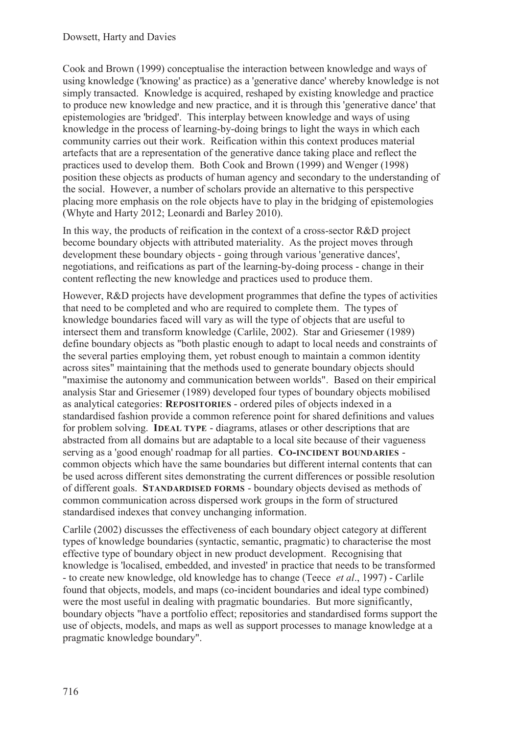Cook and Brown (1999) conceptualise the interaction between knowledge and ways of using knowledge ('knowing' as practice) as a 'generative dance' whereby knowledge is not simply transacted. Knowledge is acquired, reshaped by existing knowledge and practice to produce new knowledge and new practice, and it is through this 'generative dance' that epistemologies are 'bridged'. This interplay between knowledge and ways of using knowledge in the process of learning-by-doing brings to light the ways in which each community carries out their work. Reification within this context produces material artefacts that are a representation of the generative dance taking place and reflect the practices used to develop them. Both Cook and Brown (1999) and Wenger (1998) position these objects as products of human agency and secondary to the understanding of the social. However, a number of scholars provide an alternative to this perspective placing more emphasis on the role objects have to play in the bridging of epistemologies (Whyte and Harty 2012; Leonardi and Barley 2010).

In this way, the products of reification in the context of a cross-sector R&D project become boundary objects with attributed materiality. As the project moves through development these boundary objects - going through various 'generative dances', negotiations, and reifications as part of the learning-by-doing process - change in their content reflecting the new knowledge and practices used to produce them.

However, R&D projects have development programmes that define the types of activities that need to be completed and who are required to complete them. The types of knowledge boundaries faced will vary as will the type of objects that are useful to intersect them and transform knowledge (Carlile, 2002). Star and Griesemer (1989) define boundary objects as "both plastic enough to adapt to local needs and constraints of the several parties employing them, yet robust enough to maintain a common identity across sites" maintaining that the methods used to generate boundary objects should "maximise the autonomy and communication between worlds". Based on their empirical analysis Star and Griesemer (1989) developed four types of boundary objects mobilised as analytical categories: **REPOSITORIES** - ordered piles of objects indexed in a standardised fashion provide a common reference point for shared definitions and values for problem solving. **IDEAL TYPE** - diagrams, atlases or other descriptions that are abstracted from all domains but are adaptable to a local site because of their vagueness serving as a 'good enough' roadmap for all parties. **CO-INCIDENT BOUNDARIES** common objects which have the same boundaries but different internal contents that can be used across different sites demonstrating the current differences or possible resolution of different goals. **STANDARDISED FORMS** - boundary objects devised as methods of common communication across dispersed work groups in the form of structured standardised indexes that convey unchanging information.

Carlile (2002) discusses the effectiveness of each boundary object category at different types of knowledge boundaries (syntactic, semantic, pragmatic) to characterise the most effective type of boundary object in new product development. Recognising that knowledge is 'localised, embedded, and invested' in practice that needs to be transformed - to create new knowledge, old knowledge has to change (Teece *et al*., 1997) - Carlile found that objects, models, and maps (co-incident boundaries and ideal type combined) were the most useful in dealing with pragmatic boundaries. But more significantly, boundary objects "have a portfolio effect; repositories and standardised forms support the use of objects, models, and maps as well as support processes to manage knowledge at a pragmatic knowledge boundary".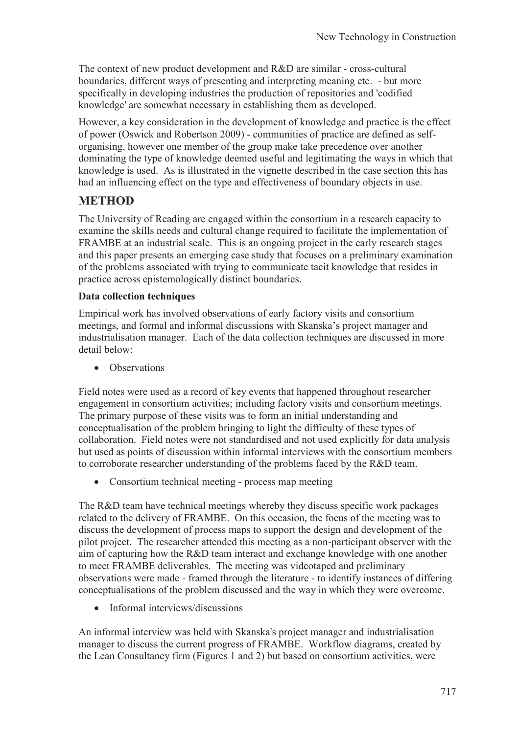The context of new product development and R&D are similar - cross-cultural boundaries, different ways of presenting and interpreting meaning etc. - but more specifically in developing industries the production of repositories and 'codified knowledge' are somewhat necessary in establishing them as developed.

However, a key consideration in the development of knowledge and practice is the effect of power (Oswick and Robertson 2009) - communities of practice are defined as selforganising, however one member of the group make take precedence over another dominating the type of knowledge deemed useful and legitimating the ways in which that knowledge is used. As is illustrated in the vignette described in the case section this has had an influencing effect on the type and effectiveness of boundary objects in use.

### **METHOD**

The University of Reading are engaged within the consortium in a research capacity to examine the skills needs and cultural change required to facilitate the implementation of FRAMBE at an industrial scale. This is an ongoing project in the early research stages and this paper presents an emerging case study that focuses on a preliminary examination of the problems associated with trying to communicate tacit knowledge that resides in practice across epistemologically distinct boundaries.

#### **Data collection techniques**

Empirical work has involved observations of early factory visits and consortium meetings, and formal and informal discussions with Skanska's project manager and industrialisation manager. Each of the data collection techniques are discussed in more detail below:

• Observations

Field notes were used as a record of key events that happened throughout researcher engagement in consortium activities; including factory visits and consortium meetings. The primary purpose of these visits was to form an initial understanding and conceptualisation of the problem bringing to light the difficulty of these types of collaboration. Field notes were not standardised and not used explicitly for data analysis but used as points of discussion within informal interviews with the consortium members to corroborate researcher understanding of the problems faced by the R&D team.

• Consortium technical meeting - process map meeting

The R&D team have technical meetings whereby they discuss specific work packages related to the delivery of FRAMBE. On this occasion, the focus of the meeting was to discuss the development of process maps to support the design and development of the pilot project. The researcher attended this meeting as a non-participant observer with the aim of capturing how the R&D team interact and exchange knowledge with one another to meet FRAMBE deliverables. The meeting was videotaped and preliminary observations were made - framed through the literature - to identify instances of differing conceptualisations of the problem discussed and the way in which they were overcome.

· Informal interviews/discussions

An informal interview was held with Skanska's project manager and industrialisation manager to discuss the current progress of FRAMBE. Workflow diagrams, created by the Lean Consultancy firm (Figures 1 and 2) but based on consortium activities, were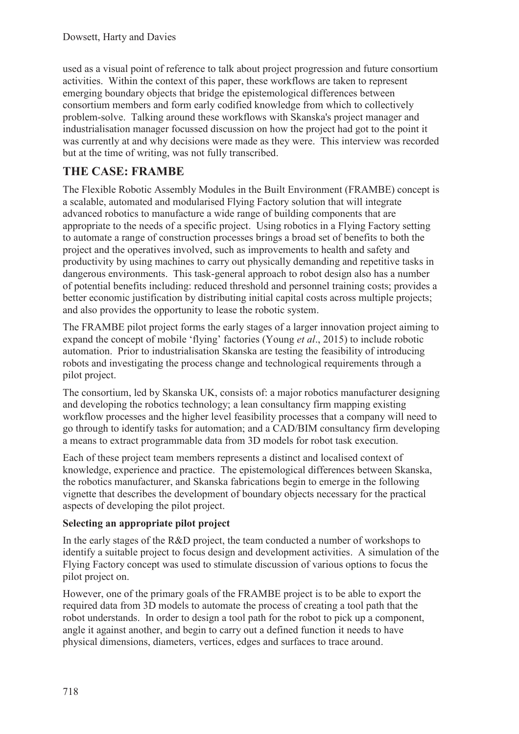used as a visual point of reference to talk about project progression and future consortium activities. Within the context of this paper, these workflows are taken to represent emerging boundary objects that bridge the epistemological differences between consortium members and form early codified knowledge from which to collectively problem-solve. Talking around these workflows with Skanska's project manager and industrialisation manager focussed discussion on how the project had got to the point it was currently at and why decisions were made as they were. This interview was recorded but at the time of writing, was not fully transcribed.

### **THE CASE: FRAMBE**

The Flexible Robotic Assembly Modules in the Built Environment (FRAMBE) concept is a scalable, automated and modularised Flying Factory solution that will integrate advanced robotics to manufacture a wide range of building components that are appropriate to the needs of a specific project. Using robotics in a Flying Factory setting to automate a range of construction processes brings a broad set of benefits to both the project and the operatives involved, such as improvements to health and safety and productivity by using machines to carry out physically demanding and repetitive tasks in dangerous environments. This task-general approach to robot design also has a number of potential benefits including: reduced threshold and personnel training costs; provides a better economic justification by distributing initial capital costs across multiple projects; and also provides the opportunity to lease the robotic system.

The FRAMBE pilot project forms the early stages of a larger innovation project aiming to expand the concept of mobile 'flying' factories (Young *et al*., 2015) to include robotic automation. Prior to industrialisation Skanska are testing the feasibility of introducing robots and investigating the process change and technological requirements through a pilot project.

The consortium, led by Skanska UK, consists of: a major robotics manufacturer designing and developing the robotics technology; a lean consultancy firm mapping existing workflow processes and the higher level feasibility processes that a company will need to go through to identify tasks for automation; and a CAD/BIM consultancy firm developing a means to extract programmable data from 3D models for robot task execution.

Each of these project team members represents a distinct and localised context of knowledge, experience and practice. The epistemological differences between Skanska, the robotics manufacturer, and Skanska fabrications begin to emerge in the following vignette that describes the development of boundary objects necessary for the practical aspects of developing the pilot project.

#### **Selecting an appropriate pilot project**

In the early stages of the R&D project, the team conducted a number of workshops to identify a suitable project to focus design and development activities. A simulation of the Flying Factory concept was used to stimulate discussion of various options to focus the pilot project on.

However, one of the primary goals of the FRAMBE project is to be able to export the required data from 3D models to automate the process of creating a tool path that the robot understands. In order to design a tool path for the robot to pick up a component, angle it against another, and begin to carry out a defined function it needs to have physical dimensions, diameters, vertices, edges and surfaces to trace around.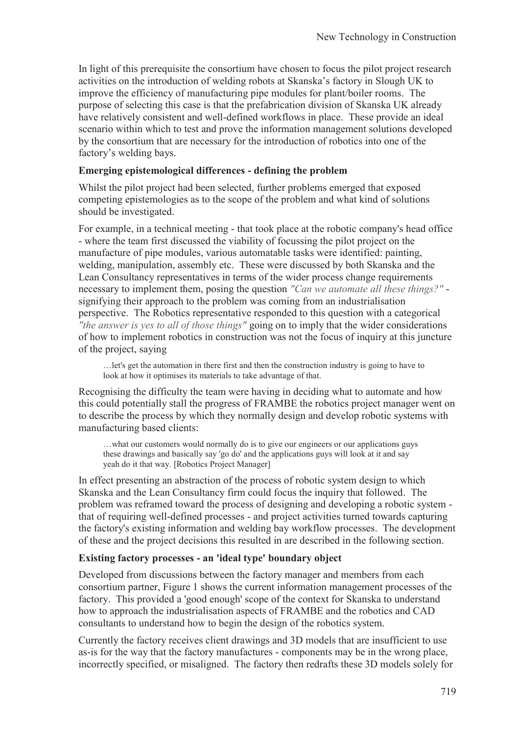In light of this prerequisite the consortium have chosen to focus the pilot project research activities on the introduction of welding robots at Skanska's factory in Slough UK to improve the efficiency of manufacturing pipe modules for plant/boiler rooms. The purpose of selecting this case is that the prefabrication division of Skanska UK already have relatively consistent and well-defined workflows in place. These provide an ideal scenario within which to test and prove the information management solutions developed by the consortium that are necessary for the introduction of robotics into one of the factory's welding bays.

#### **Emerging epistemological differences - defining the problem**

Whilst the pilot project had been selected, further problems emerged that exposed competing epistemologies as to the scope of the problem and what kind of solutions should be investigated.

For example, in a technical meeting - that took place at the robotic company's head office - where the team first discussed the viability of focussing the pilot project on the manufacture of pipe modules, various automatable tasks were identified: painting, welding, manipulation, assembly etc. These were discussed by both Skanska and the Lean Consultancy representatives in terms of the wider process change requirements necessary to implement them, posing the question *"Can we automate all these things?"* signifying their approach to the problem was coming from an industrialisation perspective. The Robotics representative responded to this question with a categorical *"the answer is yes to all of those things"* going on to imply that the wider considerations of how to implement robotics in construction was not the focus of inquiry at this juncture of the project, saying

…let's get the automation in there first and then the construction industry is going to have to look at how it optimises its materials to take advantage of that.

Recognising the difficulty the team were having in deciding what to automate and how this could potentially stall the progress of FRAMBE the robotics project manager went on to describe the process by which they normally design and develop robotic systems with manufacturing based clients:

…what our customers would normally do is to give our engineers or our applications guys these drawings and basically say 'go do' and the applications guys will look at it and say yeah do it that way. [Robotics Project Manager]

In effect presenting an abstraction of the process of robotic system design to which Skanska and the Lean Consultancy firm could focus the inquiry that followed. The problem was reframed toward the process of designing and developing a robotic system that of requiring well-defined processes - and project activities turned towards capturing the factory's existing information and welding bay workflow processes. The development of these and the project decisions this resulted in are described in the following section.

#### **Existing factory processes - an 'ideal type' boundary object**

Developed from discussions between the factory manager and members from each consortium partner, Figure 1 shows the current information management processes of the factory. This provided a 'good enough' scope of the context for Skanska to understand how to approach the industrialisation aspects of FRAMBE and the robotics and CAD consultants to understand how to begin the design of the robotics system.

Currently the factory receives client drawings and 3D models that are insufficient to use as-is for the way that the factory manufactures - components may be in the wrong place, incorrectly specified, or misaligned. The factory then redrafts these 3D models solely for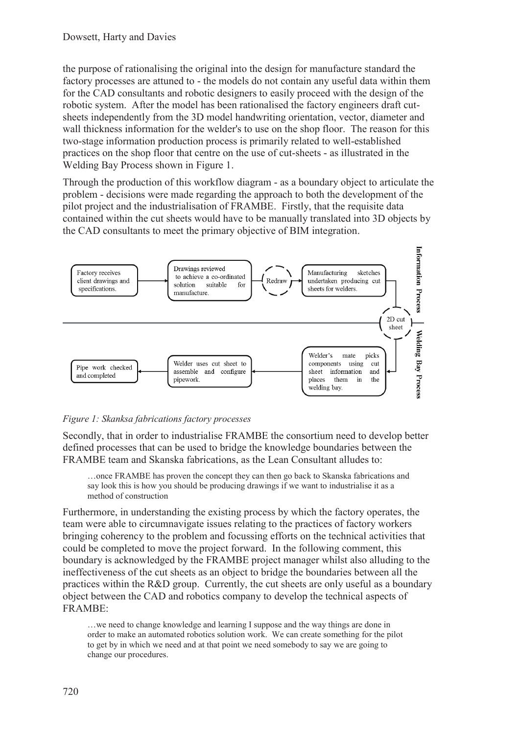the purpose of rationalising the original into the design for manufacture standard the factory processes are attuned to - the models do not contain any useful data within them for the CAD consultants and robotic designers to easily proceed with the design of the robotic system. After the model has been rationalised the factory engineers draft cutsheets independently from the 3D model handwriting orientation, vector, diameter and wall thickness information for the welder's to use on the shop floor. The reason for this two-stage information production process is primarily related to well-established practices on the shop floor that centre on the use of cut-sheets - as illustrated in the Welding Bay Process shown in Figure 1.

Through the production of this workflow diagram - as a boundary object to articulate the problem - decisions were made regarding the approach to both the development of the pilot project and the industrialisation of FRAMBE. Firstly, that the requisite data contained within the cut sheets would have to be manually translated into 3D objects by the CAD consultants to meet the primary objective of BIM integration.



#### *Figure 1: Skanksa fabrications factory processes*

Secondly, that in order to industrialise FRAMBE the consortium need to develop better defined processes that can be used to bridge the knowledge boundaries between the FRAMBE team and Skanska fabrications, as the Lean Consultant alludes to:

…once FRAMBE has proven the concept they can then go back to Skanska fabrications and say look this is how you should be producing drawings if we want to industrialise it as a method of construction

Furthermore, in understanding the existing process by which the factory operates, the team were able to circumnavigate issues relating to the practices of factory workers bringing coherency to the problem and focussing efforts on the technical activities that could be completed to move the project forward. In the following comment, this boundary is acknowledged by the FRAMBE project manager whilst also alluding to the ineffectiveness of the cut sheets as an object to bridge the boundaries between all the practices within the R&D group. Currently, the cut sheets are only useful as a boundary object between the CAD and robotics company to develop the technical aspects of FRAMBE:

…we need to change knowledge and learning I suppose and the way things are done in order to make an automated robotics solution work. We can create something for the pilot to get by in which we need and at that point we need somebody to say we are going to change our procedures.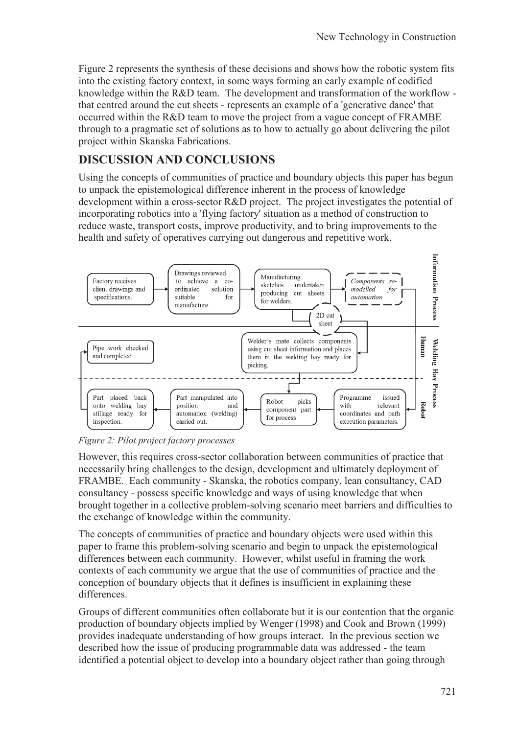Figure 2 represents the synthesis of these decisions and shows how the robotic system fits into the existing factory context, in some ways forming an early example of codified knowledge within the R&D team. The development and transformation of the workflow that centred around the cut sheets - represents an example of a 'generative dance' that occurred within the R&D team to move the project from a vague concept of FRAMBE through to a pragmatic set of solutions as to how to actually go about delivering the pilot project within Skanska Fabrications.

### **DISCUSSION AND CONCLUSIONS**

Using the concepts of communities of practice and boundary objects this paper has begun to unpack the epistemological difference inherent in the process of knowledge development within a cross-sector R&D project. The project investigates the potential of incorporating robotics into a 'flying factory' situation as a method of construction to reduce waste, transport costs, improve productivity, and to bring improvements to the health and safety of operatives carrying out dangerous and repetitive work.



*Figure 2: Pilot project factory processes* 

However, this requires cross-sector collaboration between communities of practice that necessarily bring challenges to the design, development and ultimately deployment of FRAMBE. Each community - Skanska, the robotics company, lean consultancy, CAD consultancy - possess specific knowledge and ways of using knowledge that when brought together in a collective problem-solving scenario meet barriers and difficulties to the exchange of knowledge within the community.

The concepts of communities of practice and boundary objects were used within this paper to frame this problem-solving scenario and begin to unpack the epistemological differences between each community. However, whilst useful in framing the work contexts of each community we argue that the use of communities of practice and the conception of boundary objects that it defines is insufficient in explaining these differences.

Groups of different communities often collaborate but it is our contention that the organic production of boundary objects implied by Wenger (1998) and Cook and Brown (1999) provides inadequate understanding of how groups interact. In the previous section we described how the issue of producing programmable data was addressed - the team identified a potential object to develop into a boundary object rather than going through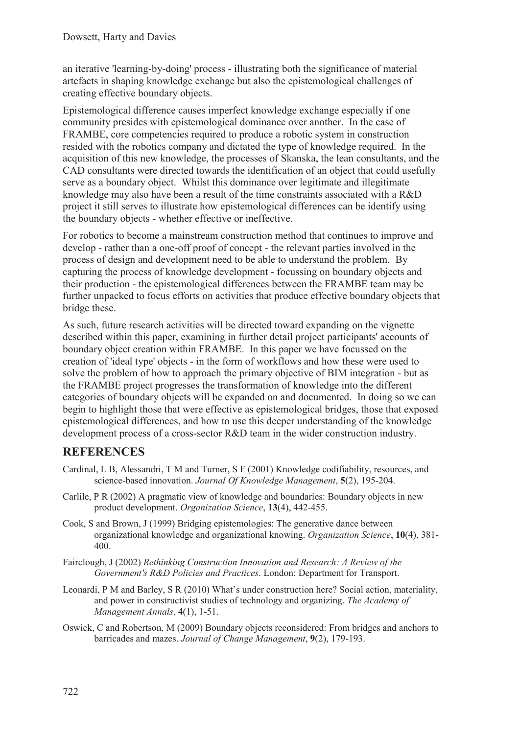an iterative 'learning-by-doing' process - illustrating both the significance of material artefacts in shaping knowledge exchange but also the epistemological challenges of creating effective boundary objects.

Epistemological difference causes imperfect knowledge exchange especially if one community presides with epistemological dominance over another. In the case of FRAMBE, core competencies required to produce a robotic system in construction resided with the robotics company and dictated the type of knowledge required. In the acquisition of this new knowledge, the processes of Skanska, the lean consultants, and the CAD consultants were directed towards the identification of an object that could usefully serve as a boundary object. Whilst this dominance over legitimate and illegitimate knowledge may also have been a result of the time constraints associated with a R&D project it still serves to illustrate how epistemological differences can be identify using the boundary objects - whether effective or ineffective.

For robotics to become a mainstream construction method that continues to improve and develop - rather than a one-off proof of concept - the relevant parties involved in the process of design and development need to be able to understand the problem. By capturing the process of knowledge development - focussing on boundary objects and their production - the epistemological differences between the FRAMBE team may be further unpacked to focus efforts on activities that produce effective boundary objects that bridge these.

As such, future research activities will be directed toward expanding on the vignette described within this paper, examining in further detail project participants' accounts of boundary object creation within FRAMBE. In this paper we have focussed on the creation of 'ideal type' objects - in the form of workflows and how these were used to solve the problem of how to approach the primary objective of BIM integration - but as the FRAMBE project progresses the transformation of knowledge into the different categories of boundary objects will be expanded on and documented. In doing so we can begin to highlight those that were effective as epistemological bridges, those that exposed epistemological differences, and how to use this deeper understanding of the knowledge development process of a cross-sector R&D team in the wider construction industry.

### **REFERENCES**

- Cardinal, L B, Alessandri, T M and Turner, S F (2001) Knowledge codifiability, resources, and science-based innovation. *Journal Of Knowledge Management*, **5**(2), 195-204.
- Carlile, P R (2002) A pragmatic view of knowledge and boundaries: Boundary objects in new product development. *Organization Science*, **13**(4), 442-455.
- Cook, S and Brown, J (1999) Bridging epistemologies: The generative dance between organizational knowledge and organizational knowing. *Organization Science*, **10**(4), 381- 400.
- Fairclough, J (2002) *Rethinking Construction Innovation and Research: A Review of the Government's R&D Policies and Practices*. London: Department for Transport.
- Leonardi, P M and Barley, S R (2010) What's under construction here? Social action, materiality, and power in constructivist studies of technology and organizing. *The Academy of Management Annals*, **4**(1), 1-51.
- Oswick, C and Robertson, M (2009) Boundary objects reconsidered: From bridges and anchors to barricades and mazes. *Journal of Change Management*, **9**(2), 179-193.